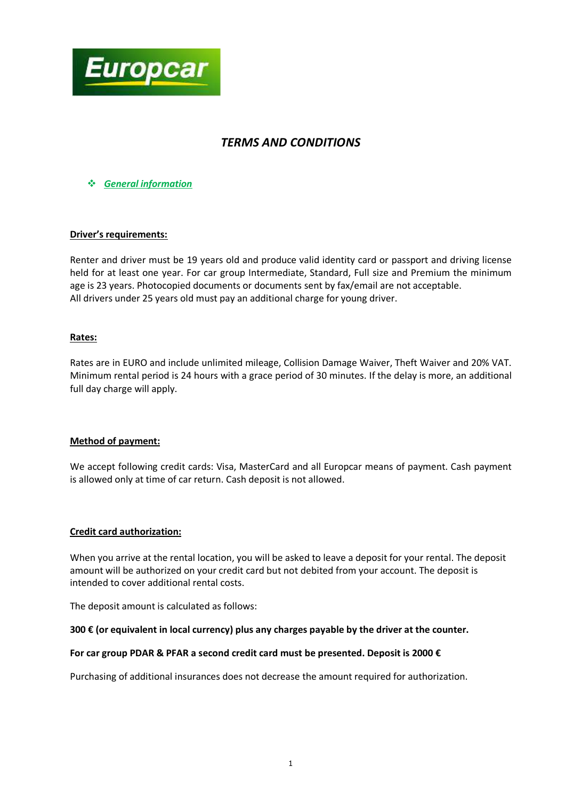

# *TERMS AND CONDITIONS*

*General information*

#### **Driver's requirements:**

Renter and driver must be 19 years old and produce valid identity card or passport and driving license held for at least one year. For car group Intermediate, Standard, Full size and Premium the minimum age is 23 years. Photocopied documents or documents sent by fax/email are not acceptable. All drivers under 25 years old must pay an additional charge for young driver.

## **Rates:**

Rates are in EURO and include unlimited mileage, Collision Damage Waiver, Theft Waiver and 20% VAT. Minimum rental period is 24 hours with a grace period of 30 minutes. If the delay is more, an additional full day charge will apply.

#### **Method of payment:**

We accept following credit cards: Visa, MasterCard and all Europcar means of payment. Cash payment is allowed only at time of car return. Cash deposit is not allowed.

#### **Credit card authorization:**

When you arrive at the rental location, you will be asked to leave a deposit for your rental. The deposit amount will be authorized on your credit card but not debited from your account. The deposit is intended to cover additional rental costs.

The deposit amount is calculated as follows:

#### **300 € (or equivalent in local currency) plus any charges payable by the driver at the counter.**

#### **For car group PDAR & PFAR a second credit card must be presented. Deposit is 2000 €**

Purchasing of additional insurances does not decrease the amount required for authorization.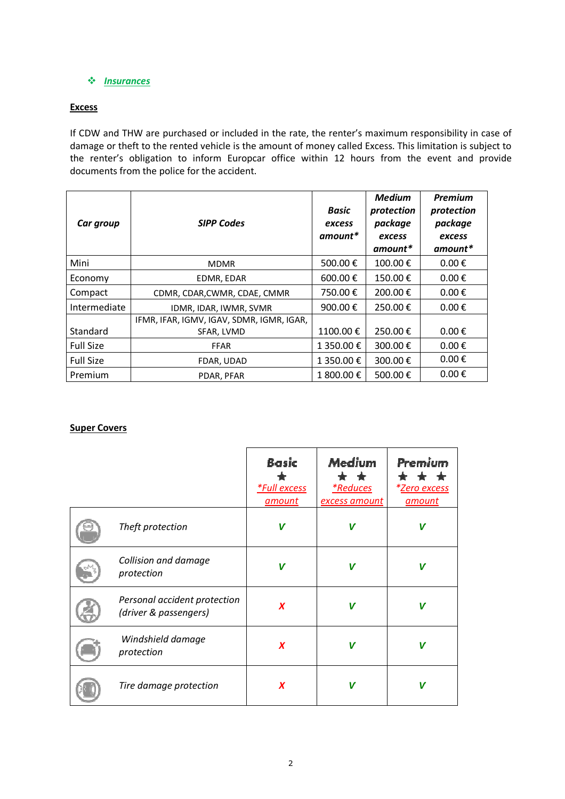## **❖** *<u>Insurances</u>*

# **Excess**

If CDW and THW are purchased or included in the rate, the renter's maximum responsibility in case of damage or theft to the rented vehicle is the amount of money called Excess. This limitation is subject to the renter's obligation to inform Europcar office within 12 hours from the event and provide documents from the police for the accident.

| Car group        | <b>SIPP Codes</b>                         | <b>Basic</b><br>excess<br>$amount*$ | <b>Medium</b><br>protection<br>package<br>excess<br>amount* | <b>Premium</b><br>protection<br>package<br>excess<br>amount* |
|------------------|-------------------------------------------|-------------------------------------|-------------------------------------------------------------|--------------------------------------------------------------|
| Mini             | <b>MDMR</b>                               | 500.00€                             | 100.00€                                                     | $0.00 \text{ } \in$                                          |
| Economy          | EDMR, EDAR                                | 600.00€                             | 150.00€                                                     | $0.00 \text{ } \in$                                          |
| Compact          | CDMR, CDAR, CWMR, CDAE, CMMR              | 750.00€                             | 200.00€                                                     | $0.00 \text{ } \in$                                          |
| Intermediate     | IDMR, IDAR, IWMR, SVMR                    | 900.00€                             | 250.00€                                                     | $0.00 \text{ } \in$                                          |
|                  | IFMR, IFAR, IGMV, IGAV, SDMR, IGMR, IGAR, |                                     |                                                             |                                                              |
| Standard         | SFAR, LVMD                                | 1100.00€                            | 250.00€                                                     | $0.00 \text{ } \in$                                          |
| <b>Full Size</b> | <b>FFAR</b>                               | 1 350.00 €                          | 300.00€                                                     | $0.00 \text{ } \in$                                          |
| <b>Full Size</b> | FDAR, UDAD                                | 1 350.00 €                          | 300.00€                                                     | $0.00 \text{ } \in$                                          |
| Premium          | PDAR, PFAR                                | 1 800.00 €                          | 500.00€                                                     | $0.00 \text{ } \in$                                          |

#### **Super Covers**

|                                                       | <b>Basic</b><br><i>*Full excess</i><br>amount | Medium<br>$\color{red}$ $\color{red}$<br>$\star$ .<br><i>*Reduces</i><br>excess amount | Premium<br><i>*<u>Zero excess</u></i><br>amount |
|-------------------------------------------------------|-----------------------------------------------|----------------------------------------------------------------------------------------|-------------------------------------------------|
| Theft protection                                      | $\boldsymbol{V}$                              | V                                                                                      | V                                               |
| Collision and damage<br>protection                    | V                                             | V                                                                                      | V                                               |
| Personal accident protection<br>(driver & passengers) | $\boldsymbol{x}$                              | V                                                                                      | V                                               |
| Windshield damage<br>protection                       | $\boldsymbol{x}$                              | V                                                                                      | V                                               |
| Tire damage protection                                | X                                             | V                                                                                      | V                                               |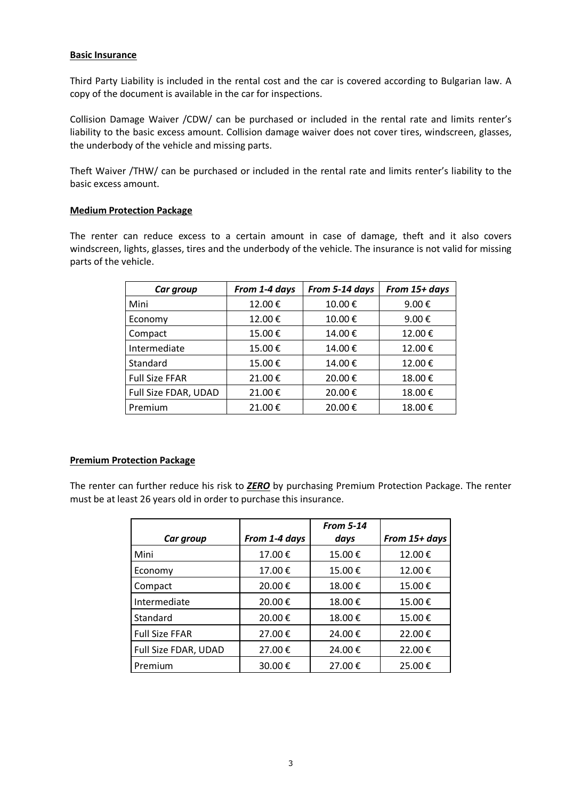#### **Basic Insurance**

Third Party Liability is included in the rental cost and the car is covered according to Bulgarian law. A copy of the document is available in the car for inspections.

Collision Damage Waiver /CDW/ can be purchased or included in the rental rate and limits renter's liability to the basic excess amount. Collision damage waiver does not cover tires, windscreen, glasses, the underbody of the vehicle and missing parts.

Theft Waiver /THW/ can be purchased or included in the rental rate and limits renter's liability to the basic excess amount.

#### **Medium Protection Package**

The renter can reduce excess to a certain amount in case of damage, theft and it also covers windscreen, lights, glasses, tires and the underbody of the vehicle. The insurance is not valid for missing parts of the vehicle.

| Car group             | From 1-4 days | From 5-14 days | From 15+ days |
|-----------------------|---------------|----------------|---------------|
| Mini                  | 12.00€        | 10.00€         | 9.00€         |
| Economy               | 12.00€        | 10.00€         | 9.00€         |
| Compact               | 15.00€        | 14.00€         | 12.00€        |
| Intermediate          | 15.00€        | 14.00€         | 12.00€        |
| Standard              | 15.00€        | 14.00€         | 12.00€        |
| <b>Full Size FFAR</b> | 21.00€        | 20.00€         | 18.00€        |
| Full Size FDAR, UDAD  | 21.00€        | 20.00€         | 18.00€        |
| Premium               | 21.00€        | 20.00€         | 18.00€        |

#### **Premium Protection Package**

The renter can further reduce his risk to *ZERO* by purchasing Premium Protection Package. The renter must be at least 26 years old in order to purchase this insurance.

|                       |               | <b>From 5-14</b> |               |
|-----------------------|---------------|------------------|---------------|
| Car group             | From 1-4 days | days             | From 15+ days |
| Mini                  | 17.00€        | 15.00€           | 12.00€        |
| Economy               | 17.00€        | 15.00€           | 12.00€        |
| Compact               | 20.00€        | 18.00€           | 15.00€        |
| Intermediate          | 20.00€        | 18.00€           | 15.00€        |
| Standard              | 20.00€        | 18.00€           | 15.00€        |
| <b>Full Size FFAR</b> | 27.00€        | 24.00€           | 22.00€        |
| Full Size FDAR, UDAD  | 27.00€        | 24.00€           | 22.00€        |
| Premium               | 30.00€        | 27.00€           | 25.00€        |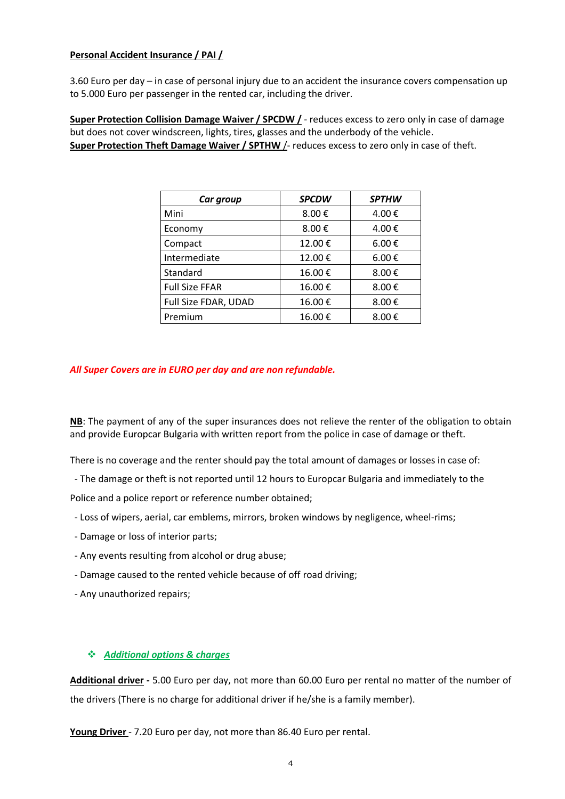## **Personal Accident Insurance / PAI /**

3.60 Euro per day – in case of personal injury due to an accident the insurance covers compensation up to 5.000 Euro per passenger in the rented car, including the driver.

**Super Protection Collision Damage Waiver / SPCDW /** - reduces excess to zero only in case of damage but does not cover windscreen, lights, tires, glasses and the underbody of the vehicle. **Super Protection Theft Damage Waiver / SPTHW** /- reduces excess to zero only in case of theft.

| Car group             | <b>SPCDW</b> | <b>SPTHW</b>        |
|-----------------------|--------------|---------------------|
| Mini                  | 8.00€        | 4.00€               |
| Economy               | 8.00€        | 4.00€               |
| Compact               | 12.00€       | $6.00 \text{ } \in$ |
| Intermediate          | 12.00€       | $6.00 \text{ } \in$ |
| Standard              | 16.00€       | 8.00€               |
| <b>Full Size FFAR</b> | 16.00€       | 8.00€               |
| Full Size FDAR, UDAD  | 16.00€       | 8.00€               |
| Premium               | 16.00€       | 8.00€               |

#### *All Super Covers are in EURO per day and are non refundable.*

**NB**: The payment of any of the super insurances does not relieve the renter of the obligation to obtain and provide Europcar Bulgaria with written report from the police in case of damage or theft.

There is no coverage and the renter should pay the total amount of damages or losses in case of:

- The damage or theft is not reported until 12 hours to Europcar Bulgaria and immediately to the

Police and a police report or reference number obtained;

- Loss of wipers, aerial, car emblems, mirrors, broken windows by negligence, wheel-rims;
- Damage or loss of interior parts;
- Any events resulting from alcohol or drug abuse;
- Damage caused to the rented vehicle because of off road driving;
- Any unauthorized repairs;

# *Additional options & charges*

**Additional driver -** 5.00 Euro per day, not more than 60.00 Euro per rental no matter of the number of the drivers (There is no charge for additional driver if he/she is a family member).

**Young Driver** - 7.20 Euro per day, not more than 86.40 Euro per rental.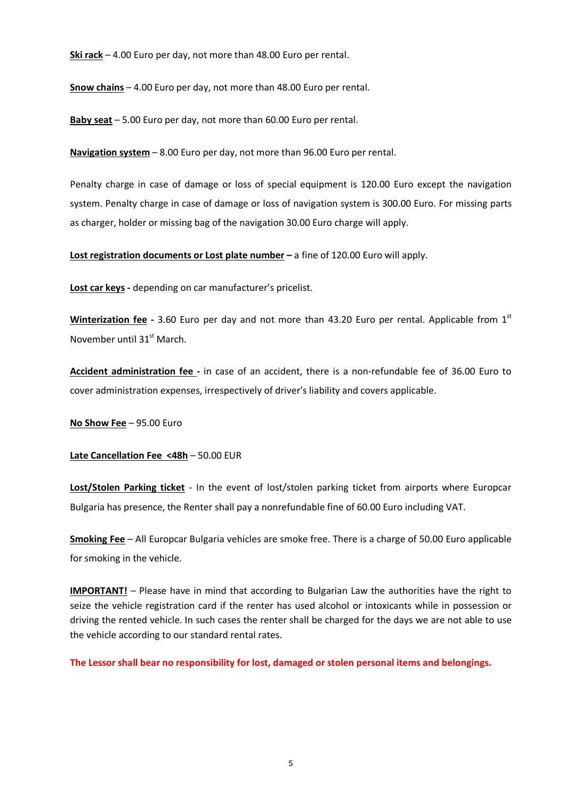**Ski rack** – 4.00 Euro per day, not more than 48.00 Euro per rental.

**Snow chains** – 4.00 Euro per day, not more than 48.00 Euro per rental.

**Baby seat** – 5.00 Euro per day, not more than 60.00 Euro per rental.

**Navigation system** – 8.00 Euro per day, not more than 96.00 Euro per rental.

Penalty charge in case of damage or loss of special equipment is 120.00 Euro except the navigation system. Penalty charge in case of damage or loss of navigation system is 300.00 Euro. For missing parts as charger, holder or missing bag of the navigation 30.00 Euro charge will apply.

**Lost registration documents or Lost plate number –** a fine of 120.00 Euro will apply.

**Lost car keys -** depending on car manufacturer's pricelist.

Winterization fee - 3.60 Euro per day and not more than 43.20 Euro per rental. Applicable from 1<sup>st</sup> November until 31<sup>st</sup> March.

**Accident administration fee -** in case of an accident, there is a non-refundable fee of 36.00 Euro to cover administration expenses, irrespectively of driver's liability and covers applicable.

**No Show Fee** – 95.00 Euro

**Late Cancellation Fee <48h** – 50.00 EUR

**Lost/Stolen Parking ticket** - In the event of lost/stolen parking ticket from airports where Europcar Bulgaria has presence, the Renter shall pay a nonrefundable fine of 60.00 Euro including VAT.

**Smoking Fee** – All Europcar Bulgaria vehicles are smoke free. There is a charge of 50.00 Euro applicable for smoking in the vehicle.

**IMPORTANT!** – Please have in mind that according to Bulgarian Law the authorities have the right to seize the vehicle registration card if the renter has used alcohol or intoxicants while in possession or driving the rented vehicle. In such cases the renter shall be charged for the days we are not able to use the vehicle according to our standard rental rates.

**The Lessor shall bear no responsibility for lost, damaged or stolen personal items and belongings.**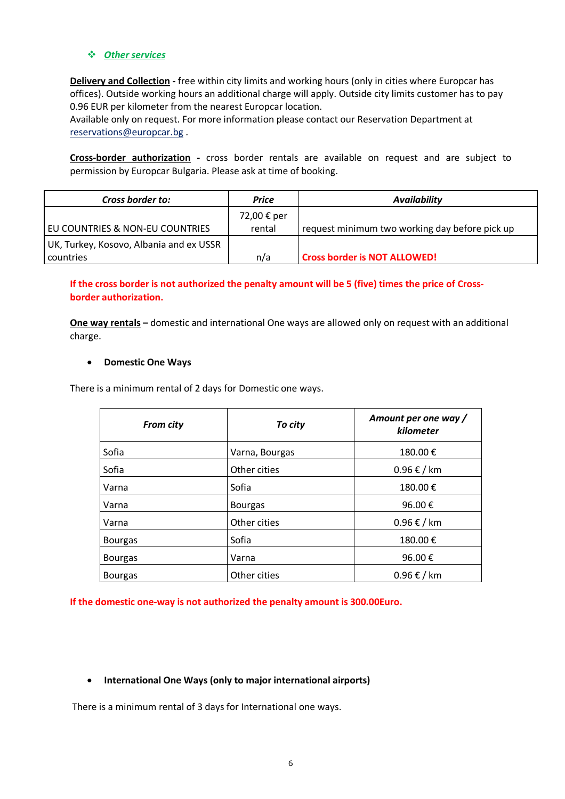#### *Other services*

**Delivery and Collection -** free within city limits and working hours (only in cities where Europcar has offices). Outside working hours an additional charge will apply. Outside city limits customer has to pay 0.96 EUR per kilometer from the nearest Europcar location.

Available only on request. For more information please contact our Reservation Department at reservations@europcar.bg .

**Cross-border authorization -** cross border rentals are available on request and are subject to permission by Europcar Bulgaria. Please ask at time of booking.

| Cross border to:                        | Price       | <b>Availability</b>                            |
|-----------------------------------------|-------------|------------------------------------------------|
|                                         | 72,00 € per |                                                |
| EU COUNTRIES & NON-EU COUNTRIES         | rental      | request minimum two working day before pick up |
| UK, Turkey, Kosovo, Albania and ex USSR |             |                                                |
| countries                               | n/a         | <b>Cross border is NOT ALLOWED!</b>            |

# **If the cross border is not authorized the penalty amount will be 5 (five) times the price of Crossborder authorization.**

**One way rentals –** domestic and international One ways are allowed only on request with an additional charge.

#### **Domestic One Ways**

There is а minimum rental of 2 days for Domestic one ways.

| <b>From city</b> | To city        | Amount per one way /<br>kilometer |
|------------------|----------------|-----------------------------------|
| Sofia            | Varna, Bourgas | 180.00€                           |
| Sofia            | Other cities   | $0.96 \text{ } \in$ / km          |
| Varna            | Sofia          | 180.00€                           |
| Varna            | <b>Bourgas</b> | 96.00€                            |
| Varna            | Other cities   | $0.96 \text{ } \in$ / km          |
| <b>Bourgas</b>   | Sofia          | 180.00€                           |
| <b>Bourgas</b>   | Varna          | 96.00€                            |
| <b>Bourgas</b>   | Other cities   | $0.96 \text{ } \in$ / km          |

**If the domestic one-way is not authorized the penalty amount is 300.00Euro.** 

#### **International One Ways (only to major international airports)**

There is а minimum rental of 3 days for International one ways.